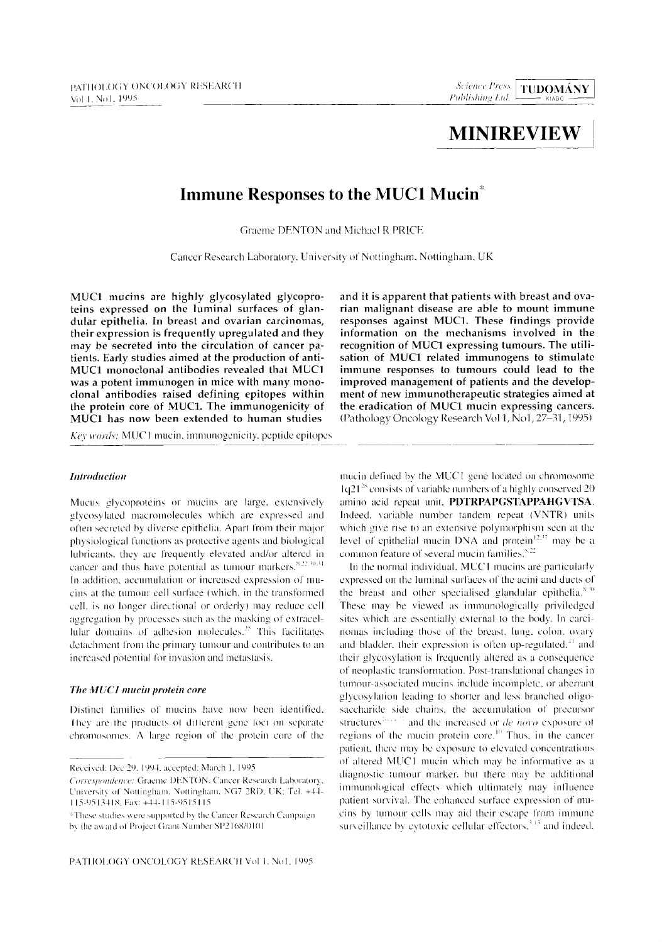# **MINIREVIEW**

# **Immune Responses to the MUCI Mucin\***

Graeme DENTON and Michael R PRICE

Cancer Research Laboratory, University of Nottingham, Nottingham, UK

**MUC1 mucins are highly glycosylated glycoproteins expressed on the luminal surfaces of glandular epithelia. In breast and ovarian carcinomas, their expression is frequently upregulated and they may be secreted into the circulation of cancer patients. Early studies aimed at the production of anti-MUC1 monoclonal antibodies revealed that MUC1 was a potent immunogen in mice with many monoclonal antibodies raised defining epitopes within the protein core of MUC1. The immunogenicity of MUC1 has now been extended to human studies** 

Key words: MUC1 mucin, immunogenicity, peptide epitopes

#### *lntroduction*

 $Mucus$  glycoproteins or mucins are *large*, extensively glycosylated macromolecules which are expressed and often secreted by diverse epithelia. Apart from their major physiological functions as protective agents and biological lubricants, they arc frequently elevated and/or altered in cancer and thus have potential as tumour markers. $x_{22,30,31}$ In addition, accumulation or increased expression of mucins at the tumour cell surface (which, in the transformed cell. is no longer directional or orderly) may reduce cell aggregation by processes such as the masking of extracellular domains of adhesion molecules.<sup>25</sup> This facilitates detachment from the primary tumour and contributes to an increased potential for invasion and metastasis.

#### *The MUCI mucin protein core*

Distinct families of mucins have now been identified, I hey are the products of different gene foct on separate  $chromosomes. A large region of the protein core of the$ 

Received: Dec 29. 1994. accepted: March 1, 1995.

**and it is apparent that patients with breast and ovarian malignant disease are able to mount immune responses against MUC1. These findings provide information on the mechanisms involved in the recognition of MUC1 expressing tumours. The utilisation of MUC1 related immunogens to stimulate immune responses to tumours could lead to the improved management of patients and the development of new immunotherapeutic strategies airned at the eradication of MUC1 mucin expressing cancers.**  (Pathology Oncology Research Vol 1, No1, 27-31, 1995)

mucin defined by the MUC1 gene located on chromosome  $1q21^{28}$  consists of variable numbers of a highly conserved 20 amino acid repeat unit. PDTRPAPGSTAPPAHGVTSA. Indeed, variable number tandem repeat (VNTR) units which give rise to an extensive polymorphism seen at the level of epithelial mucin DNA and protein  $12.27$  may be a common feature of several mucin families. $5.22$ 

In the normal individual, MUCI mucins are particularly expressed on the luminal surfaces of the acini and ducts of the breast and other specialised glandular epithelia. $8.30$ These may be viewed as immunologically priviledged sites which are essentially external to the body. In carcinomas including those of the breast, lung. colon. ovary and bladder, their expression is often up-regulated, $41$  and their glycosylation is frequently altered as a consequence of neoplastic translormation. Post translational changes in tumour-associated mucins include incomplete, or aberrant glycosylation leading to shorter and less branched oligosaccharide side chains, the accumulation of precursor Structures<sup>2011</sup> and the increased or *de novo* exposure of regions of the mucin protein core.<sup>10</sup> Thus, in the cancer patient, there may be exposure to elevated concentrations of altered MUC1 mucin which may be informative as a diagnostic tumour marker, but there may be additional immunological effects which ultimately may influence patient survival. The enhanced surface expression of mucins by tumour cells may aid their escape from immune surveillance by cytotoxic cellular effectors, $^{3.13}$  and indeed.

*Correspondence: Graeme DENTON, Cancer Research Laboratory,* University of Nottingham. Nottingham, NG7 2RD, UK; Tel. +44-115-9513418, Fax: +44-115-9515115

<sup>\*</sup>These studies were supported by the Cancer Research Campaign by the award of Project Grant Number SP2168/0101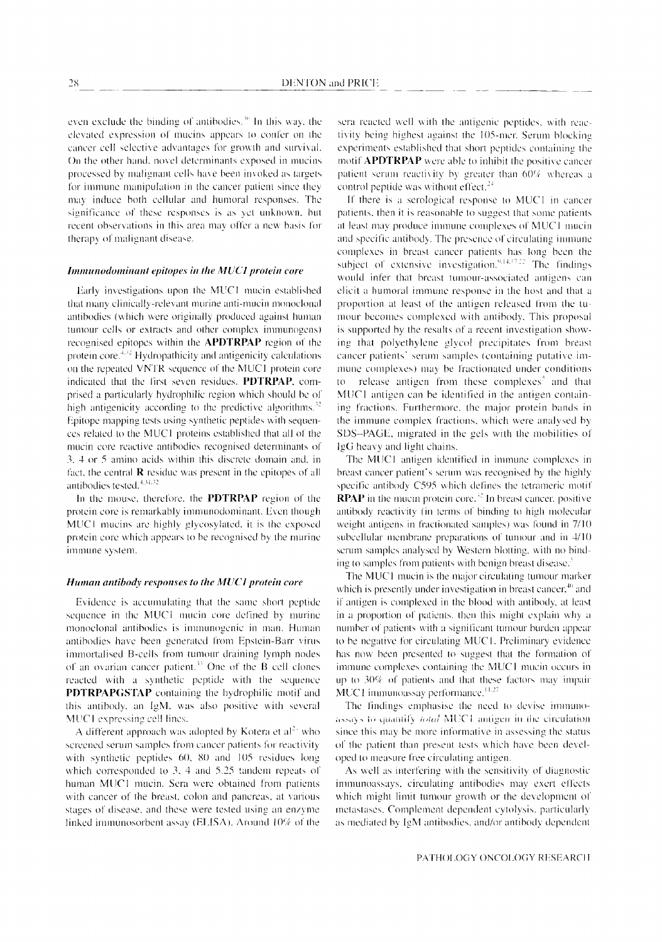even exclude the binding of antibodies.<sup>36</sup> In this way, the elevated expression of mucins appears to confer on the cancer cell selective advantages for growth and survival. On the other hand, novel determinants exposed in mucins processed by malignant cells have been invoked as targets for immune manipulation in the cancer patient since they may induce both cellular and humoral responses. The significance of these responses is as yet unknown, but recent observations in this area may offer a new basis for therapy of malignant disease.

#### Immunodominant epitopes in the MUCI protein core

Early investigations upon the MUC1 mucin established that many clinically-relevant murine anti-mucin monoclonal antibodies (which were originally produced against human tumour cells or extracts and other complex immunogens) recognised epitopes within the **APDTRPAP** region of the protein  $\csc^{-4.32}$  Hydropathicity and antigenicity calculations on the repeated VNTR sequence of the MUC1 protein core indicated that the first seven residues. PDTRPAP, comprised a particularly hydrophilic region which should be of high antigenicity according to the predictive algorithms.<sup>32</sup> Epitope mapping tests using synthetic peptides with sequences related to the MUC1 proteins established that all of the mucin core reactive antibodies recognised determinants of 3, 4 or 5 amino acids within this discrete domain and, in fact, the central  $\bf{R}$  residue was present in the epitopes of all antibodies tested.<sup>4,31,32</sup>

In the mouse, therefore, the **PDTRPAP** region of the protein core is remarkably immunodominant. Even though MUC1 mucins are highly glycosylated, it is the exposed protein core which appears to be recognised by the murine immune system.

# Human antibody responses to the MUC1 protein core

Evidence is accumulating that the same short peptide sequence in the MUC1 mucin core defined by murine monoclonal antibodies is immunogenic in man. Human antibodies have been generated from Epstein-Barr virus immortalised B-cells from tumour draining lymph nodes of an ovarian cancer patient.<sup>33</sup> One of the B cell clones reacted with a synthetic peptide with the sequence PDTRPAPGSTAP containing the hydrophilic motif and this antibody, an IgM, was also positive with several MUC1 expressing cell lines.

A different approach was adopted by Kotera et  $al<sup>2</sup>$  who screened serum samples from cancer patients for reactivity with synthetic peptides 60, 80 and 105 residues long which corresponded to 3, 4 and 5.25 tandem repeats of human MUC1 mucin. Sera were obtained from patients with cancer of the breast, colon and pancreas, at various stages of disease, and these were tested using an enzyme linked immunosorbent assay (ELISA). Around 10% of the

sera reacted well with the antigenic peptides, with reactivity being highest against the 105-mer. Serum blocking experiments established that short peptides containing the motif **APDTRPAP** were able to inhibit the positive cancer patient serum reactivity by greater than 60% whereas a control peptide was without effect.<sup>24</sup>

If there is a serological response to MUC1 in cancer patients, then it is reasonable to suggest that some patients at least may produce immune complexes of MUC1 mucin and specific antibody. The presence of circulating immune complexes in breast cancer patients has long been the subject of extensive investigation.<sup>9,14,17,22</sup> The findings would infer that breast tumour-associated antigens can elicit a humoral immune response in the host and that a proportion at least of the antigen released from the tumour becomes complexed with antibody. This proposal is supported by the results of a recent investigation showing that polyethylene glycol precipitates from breast cancer patients' serum samples (containing putative immune complexes) may be fractionated under conditions release antigen from these complexes<sup>5</sup> and that  $10<sup>1</sup>$ MUC1 antigen can be identified in the antigen containing fractions. Furthermore, the major protein bands in the immune complex fractions, which were analysed by SDS-PAGE, migrated in the gels with the mobilities of IgG heavy and light chains.

The MUC1 antigen identified in immune complexes in breast cancer patient's serum was recognised by the highly specific antibody C595 which defines the tetrameric motif **RPAP** in the mucin protein core.<sup>32</sup> In breast cancer, positive antibody reactivity (in terms of binding to high molecular weight antigens in fractionated samples) was found in 7/10 subcellular membrane preparations of tumour and in 4/10 serum samples analysed by Western blotting, with no binding to samples from patients with benign breast disease.<sup>5</sup>

The MUC1 mucin is the major circulating tumour marker which is presently under investigation in breast cancer,<sup>40</sup> and if antigen is complexed in the blood with antibody, at least in a proportion of patients, then this might explain why a number of patients with a significant tumour burden appear to be negative for circulating MUC1. Preliminary evidence has now been presented to suggest that the formation of immune complexes containing the MUC1 mucin occurs in up to 30% of patients and that these factors may impair MUC1 immunoassay performance.<sup>11,27</sup>

The findings emphasise the need to devise immunoassays to quantify *total* MUC1 antigen in the circulation since this may be more informative in assessing the status of the patient than present tests which have been developed to measure free circulating antigen.

As well as interfering with the sensitivity of diagnostic immunoassays, circulating antibodies may exert effects which might limit tumour growth or the development of metastases. Complement dependent cytolysis, particularly as mediated by IgM antibodies, and/or antibody dependent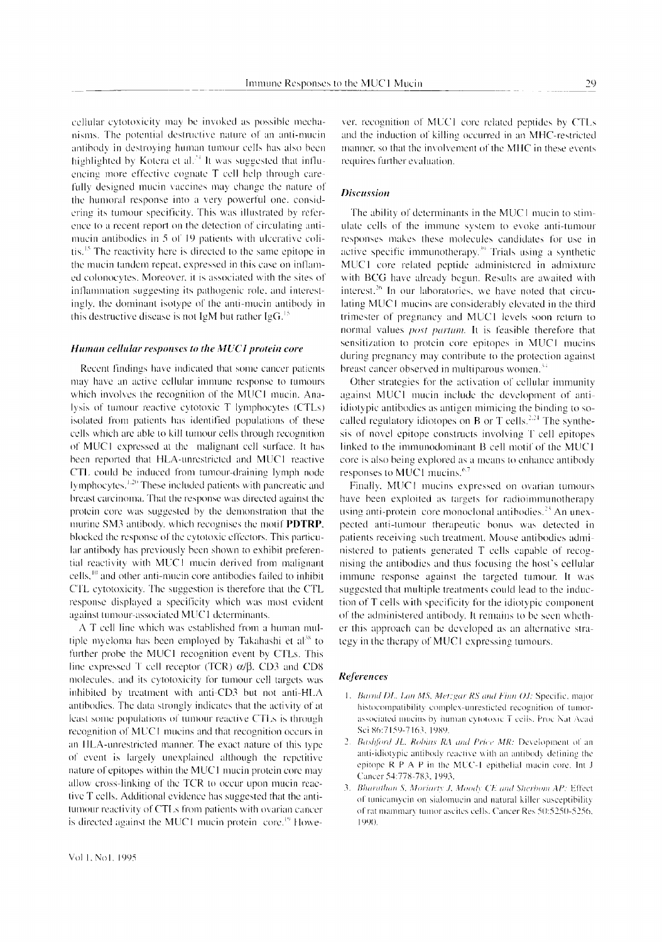cellular cytotoxicity may be invoked as possible mechanisms. The potential destructive nature of an anti-mucin antibody in destroying human tumour cells has also been highlighted by Kotera et al.<sup>24</sup> It was suggested that influencing more effective cognate T cell help through carefully designed mucin vaccines may change the nature of the humoral response into a very powerful one, considering its tumour specificity. This was illustrated by reference to a recent report on the detection of circulating antimucin antibodies in 5 of 19 patients with ulcerative colitis.<sup>15</sup> The reactivity here is directed to the same epitope in the mucin tandem repeat, expressed in this case on inflamed colonocytes. Moreover, it is associated with the sites of inflammation suggesting its pathogenic role, and interestingly, the dominant isotype of the anti-mucin antibody in this destructive disease is not IgM but rather IgG.<sup>12</sup>

## Human cellular responses to the MUC1 protein core

Recent findings have indicated that some cancer patients may have an active cellular immune response to tumours which involves the recognition of the MUC1 mucin. Analysis of tumour reactive cytotoxic T lymphocytes (CTLs) isolated from patients has identified populations of these cells which are able to kill tumour cells through recognition of MUC1 expressed at the malignant cell surface. It has been reported that HLA-unrestricted and MUC1 reactive CTL could be induced from tumour-draining lymph node lymphocytes.<sup>1,20</sup> These included patients with pancreatic and breast carcinoma. That the response was directed against the protein core was suggested by the demonstration that the murine SM3 antibody, which recognises the motif PDTRP, blocked the response of the cytotoxic effectors. This particular antibody has previously been shown to exhibit preferential reactivity with MUC1 mucin derived from malignant cells,<sup>10</sup> and other anti-mucin core antibodies failed to inhibit CTL cytotoxicity. The suggestion is therefore that the CTL response displayed a specificity which was most evident against tumour-associated MUC1 determinants.

A T cell line which was established from a human multiple myeloma has been employed by Takahashi et al<sup>38</sup> to further probe the MUC1 recognition event by CTLs. This line expressed T cell receptor (TCR)  $\alpha/\beta$ , CD3 and CD8 molecules, and its cytotoxicity for tumour cell targets was inhibited by treatment with anti-CD3 but not anti-HLA antibodies. The data strongly indicates that the activity of at least some populations of tumour reactive CTLs is through recognition of MUC1 mucins and that recognition occurs in an HLA-unrestricted manner. The exact nature of this type of event is largely unexplained although the repetitive nature of epitopes within the MUC1 mucin protein core may allow cross-linking of the TCR to occur upon mucin reactive T cells. Additional evidence has suggested that the antitumour reactivity of CTLs from patients with ovarian cancer is directed against the MUC1 mucin protein core.<sup>19</sup> Howe-

ver, recognition of MUC1 core related peptides by CTLs and the induction of killing occurred in an MHC-restricted manner, so that the involvement of the MHC in these events requires further evaluation.

## **Discussion**

The ability of determinants in the MUC1 mucin to stimulate cells of the immune system to evoke anti-tumour responses makes these molecules candidates for use in active specific immunotherapy.<sup>39</sup> Trials using a synthetic MUC1 core related peptide administered in admixture with BCG have already begun. Results are awaited with interest.<sup>26</sup> In our laboratories, we have noted that circulating MUC1 mucins are considerably elevated in the third trimester of pregnancy and MUC1 levels soon return to normal values *post partum*. It is feasible therefore that sensitization to protein core epitopes in MUC1 mucins during pregnancy may contribute to the protection against breast cancer observed in multiparous women.<sup>34</sup>

Other strategies for the activation of cellular immunity against MUC1 mucin include the development of antiidiotypic antibodies as antigen mimicing the binding to socalled regulatory idiotopes on B or T cells.<sup>2,24</sup> The synthesis of novel epitope constructs involving T cell epitopes linked to the immunodominant B cell motif of the MUC1 core is also being explored as a means to enhance antibody responses to MUC1 mucins.<sup>6.7</sup>

Finally, MUC1 mucins expressed on ovarian tumours have been exploited as targets for radioimmunotherapy using anti-protein core monoclonal antibodies.<sup>23</sup> An unexpected anti-tumour therapeutic bonus was detected in patients receiving such treatment. Mouse antibodies administered to patients generated T cells capable of recognising the antibodies and thus focusing the host's cellular immune response against the targeted tumour. It was suggested that multiple treatments could lead to the induction of T cells with specificity for the idiotypic component of the administered antibody. It remains to be seen whether this approach can be developed as an alternative strategy in the therapy of MUC1 expressing tumours.

#### References

- 1. Barnd DL, Lan MS, Metzgar RS and Finn OJ: Specific, major histocompatibility complex-unresticted recognition of tumorassociated mucins by human cytotoxic T cells. Proc Nat Acad Sci 86:7159-7163, 1989.
- 2. Bashford JL, Robins RA and Price MR: Development of an anti-idiotypic antibody reactive with an antibody defining the epitope R P A P in the MUC-1 epithelial mucin core. Int J Cancer 54:778-783, 1993.
- 3. Bharathan S, Moriarty J, Moody CE and Sherbom AP: Effect of tunicamycin on sialomucin and natural killer susceptibility of rat mammary tumor ascites cells. Cancer Res 50:5250-5256. 1990.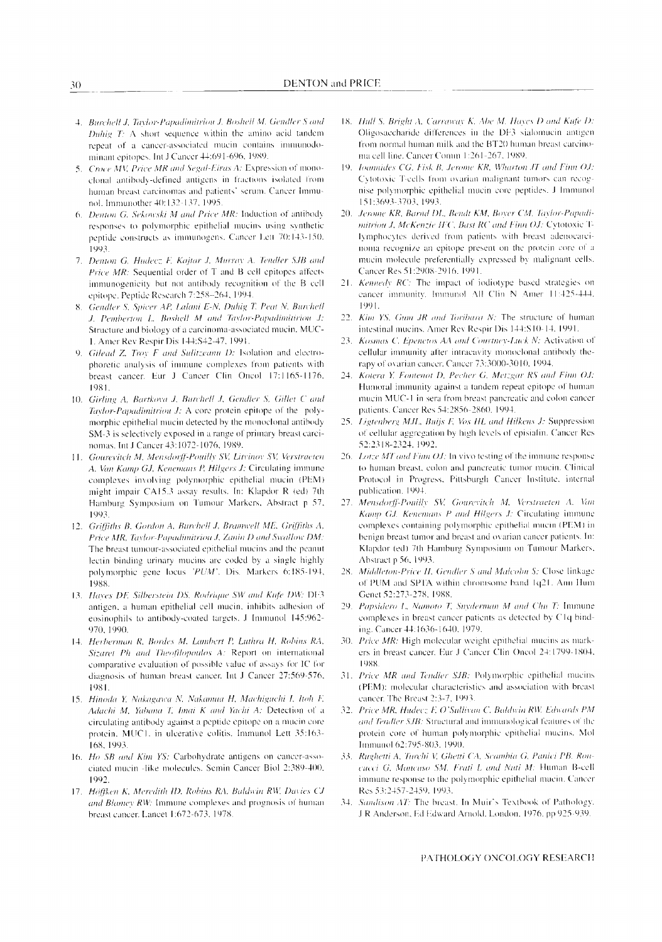- 4. Burchell J, Taylor-Papadimitriou J, Boshell M. Gendler S and Duhig  $T_1$ : A short sequence within the amino acid tandem repeat of a cancer-associated mucin contains immunodominant epitopes. Int J Cancer 44:691-696, 1989.
- 5. Croce MV, Price MR and Segal-Eiras A: Expression of monoclonal antibody-defined antigens in fractions isolated from human breast earcinomas and patients' serum. Cancer Immunol. Immunother 40:132-137, 1995.
- 6. Denton G. Sekowski M and Price MR: Induction of antibody responses to polymorphic epithelial mucins using synthetic peptide constructs as immunogens. Cancer Lett 70:143-150. 1003
- 7. Denton G, Hudecz F, Kajtar J, Murray A. Tendler SJB and Price MR: Sequential order of T and B cell epitopes affects immunogenicity but not antibody recognition of the B cell epitope. Peptide Research 7:258-264, 1994.
- 8. Gendler S, Spicer AP, Lalani E-N, Duhig T. Peat N, Burchell J. Pemberton L. Boshell M and Taylor-Papadimitiriou J: Structure and biology of a carcinoma-associated mucin. MUC-1. Amer Rev Respir Dis 144:S42-47, 1991.
- 9. Gilead Z. Troy F and Sulitzeanu D: Isolation and electrophoretic analysis of immune complexes from patients with breast cancer. Eur J Cancer Clin Oncol 17:1165-1176. 1981.
- 10. Girling A, Bartkova J, Burchell J, Gendler S, Gillet C and Taylor-Papadimitriou J: A core protein epitope of the polymorphic epithelial mucin detected by the monoclonal antibody SM-3 is selectively exposed in a range of primary breast carcinomas. Int J Cancer 43:1072-1076, 1989.
- 11. Gourevitch M, Mensdorff-Pouilly SV, Litvinov SV, Verstraeten A. Van Kamp GJ, Kenemans P, Hilgers J: Circulating immune complexes involving polymorphic epithelial mucin (PEM) might impair CA15.3 assay results. In: Klapdor R (ed) 7th Hamburg Symposium on Tumour Markers, Abstract p 57, 1993
- 12. Griffiths B, Gordon A, Burchell J, Bramwell ME. Griffiths A, Price MR, Taylor-Papadimitriou J, Zanin D and Swallow DM: The breast tumour-associated epithelial mucins and the peanut lectin binding urinary mucins are coded by a single highly polymorphic gene locus 'PUM'. Dis. Markers 6:185-194, 1988.
- 13. Hayes DF, Silberstein DS, Rodrique SW and Kufe DW: DF3 antigen, a human epithelial cell mucin, inhibits adhesion of eosinophils to antibody-coated targets. J Immunol 145:962-970, 1990.
- 14. Herberman R, Bordes M, Lambert P, Ludira H, Robins RA, Sizaret Ph and Theofilopoulos A: Report on international comparative evaluation of possible value of assays for IC for diagnosis of human breast cancer. Int J Cancer 27:569-576, 1981.
- 15. Hinoda Y, Nakagawa N, Nakamua H, Machiguchi I, Itoh F, Adachi M, Yabana T, Imai K and Yachi A: Detection of a circulating antibody against a peptide epitope on a mucin core protein, MUC1, in ulcerative colitis. Immunol Lett 35:163-168, 1993.
- 16. Ho SB and Kim YS: Carbohydrate antigens on cancer-associated mucin -like molecules. Semin Cancer Biol 2:389-400, 1992.
- 17. Höffken K, Meredith ID, Robins RA, Baldwin RW, Davies CJ and Blamey RW: Immune complexes and prognosis of human breast cancer. Lancet 1:672-673, 1978.
- 18. Hull S. Bright A, Carraway K, Abe M, Hayes D and Kufe D: Oligosaccharide differences in the DF3 sialomucin antigen from normal human milk and the BT20 human breast carcinoma cell line. Cancer Comm 1:261-267, 1989.
- 19. Ioannides CG, Fisk B, Jerome KR, Wharton JT and Finn OJ: Cytotoxic T-cells from ovarian malignant tumors can recognise polymorphic epithelial mucin core peptides. J Immunol 151:3693-3703, 1993.
- 20. Jerome KR, Barnd DL, Bendt KM, Boyer CM, Taylor-Papadimitrion J, McKenzie IFC, Bast RC and Finn OJ: Cytotoxic Tlymphocytes derived from patients with breast adenocarcinoma recognize an epitope present on the protein core of a mucin molecule preferentially expressed by malignant cells. Cancer Res 51:2908-2916, 1991.
- Kennedy RC: The impact of iodiotype based strategies on  $21.$ eancer immunity. Immunol All Clin N Amer 11:425-444. 1991.
- 22. Kim YS, Gum JR and Toribara N: The structure of human intestinal mucins. Amer Rev Respir Dis 144:S10-14. 1991.
- 23. Kosmas C, Epenetos AA and Courtney-Luck N: Activation of cellular immunity after intracavity monoclonal antibody therapy of ovarian cancer. Cancer 73:3000-3010, 1994.
- 24. Kotera Y, Fontenot D, Pecher G, Metzgar RS and Finn OJ: Humoral immunity against a tandem repeat epitope of human mucin MUC-1 in sera from breast pancreatic and colon cancer patients. Cancer Res 54:2856-2860, 1994.
- 25. Ligtenberg M.H., Buijs F, Vos HL and Hilkens J: Suppression of cellular aggregation by high levels of episialin. Cancer Res 52:2318-2324, 1992.
- 26. Lotze MT and Finn OJ: In vivo testing of the immune response to human breast, colon and pancreatic tumor mucin. Clinical Protocol in Progress, Pittsburgh Cancer Institute, internal publication, 1994.
- Mensdorff-Pouilly SV, Gourevitch M, Verstraeten A. Van 27. Kamp GJ, Kenemans P and Hilgers J: Circulating immune complexes containing polymorphic epithelial mucin (PEM) in benign breast tumor and breast and ovarian cancer patients. In: Klapdor (ed) 7th Hamburg Symposium on Tumour Markers, Abstract p 56, 1993.
- 28. Middleton-Price H, Gendler S and Malcolm S: Close linkage of PUM and SPTA within chromsome band 1q21. Ann Hum Genet 52:273-278, 1988.
- 29. Papsidero L, Namoto T, Snyderman M and Chu T: Immune complexes in breast cancer patients as detected by C1q binding. Cancer 44:1636-1640, 1979.
- 30. Price MR: High molecular weight epithelial mucins as markers in breast cancer. Eur J Cancer Clin Oncol 24:1799-1804, 1988.
- 31. Price MR and Tendler SJB: Polymorphic epithelial mucins (PEM): molecular characteristics and association with breast cancer. The Breast 2:3-7, 1993.
- 32. Price MR, Hudecz F, O'Sullivan C, Baldwin RW, Edwards PM and Tendler SJB: Structural and immunological features of the protein core of human polymorphic epithelial mucins. Mol Immunol 62:795-803, 1990.
- 33. Rughetti A, Turchi V, Ghetti CA, Scambia G, Panici PB. Roncucci G, Mancuso SM, Frati L and Nuti M: Human B-cell immune response to the polymorphic epithelial mucin. Cancer Res 53:2457-2459, 1993.
- 34. Sandison AT: The breast. In Muir's Textbook of Pathology. J R Anderson, Ed Edward Arnold. London, 1976. pp 925-939.